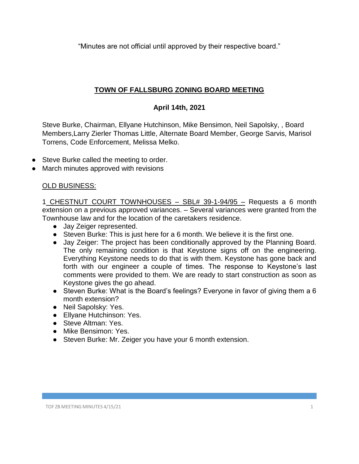"Minutes are not official until approved by their respective board."

## **TOWN OF FALLSBURG ZONING BOARD MEETING**

## **April 14th, 2021**

Steve Burke, Chairman, Ellyane Hutchinson, Mike Bensimon, Neil Sapolsky, , Board Members,Larry Zierler Thomas Little, Alternate Board Member, George Sarvis, Marisol Torrens, Code Enforcement, Melissa Melko.

- Steve Burke called the meeting to order.
- March minutes approved with revisions

## OLD BUSINESS:

1 CHESTNUT COURT TOWNHOUSES – SBL# 39-1-94/95 – Requests a 6 month extension on a previous approved variances. – Several variances were granted from the Townhouse law and for the location of the caretakers residence.

- Jay Zeiger represented.
- Steven Burke: This is just here for a 6 month. We believe it is the first one.
- Jay Zeiger: The project has been conditionally approved by the Planning Board. The only remaining condition is that Keystone signs off on the engineering. Everything Keystone needs to do that is with them. Keystone has gone back and forth with our engineer a couple of times. The response to Keystone's last comments were provided to them. We are ready to start construction as soon as Keystone gives the go ahead.
- Steven Burke: What is the Board's feelings? Everyone in favor of giving them a 6 month extension?
- Neil Sapolsky: Yes.
- Ellvane Hutchinson: Yes.
- Steve Altman: Yes.
- Mike Bensimon: Yes.
- Steven Burke: Mr. Zeiger you have your 6 month extension.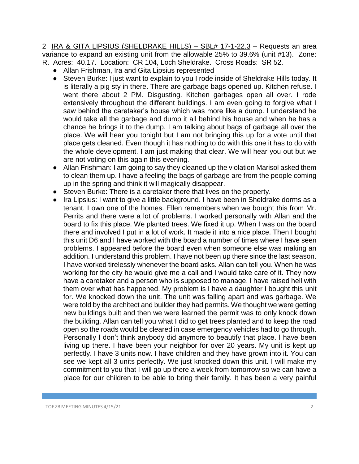2 IRA & GITA LIPSIUS (SHELDRAKE HILLS) - SBL# 17-1-22.3 - Requests an area variance to expand an existing unit from the allowable 25% to 39.6% (unit #13). Zone: R. Acres: 40.17. Location: CR 104, Loch Sheldrake. Cross Roads: SR 52.

- Allan Frishman, Ira and Gita Lipsius represented
- Steven Burke: I just want to explain to you I rode inside of Sheldrake Hills today. It is literally a pig sty in there. There are garbage bags opened up. Kitchen refuse. I went there about 2 PM. Disgusting. Kitchen garbages open all over. I rode extensively throughout the different buildings. I am even going to forgive what I saw behind the caretaker's house which was more like a dump. I understand he would take all the garbage and dump it all behind his house and when he has a chance he brings it to the dump. I am talking about bags of garbage all over the place. We will hear you tonight but I am not bringing this up for a vote until that place gets cleaned. Even though it has nothing to do with this one it has to do with the whole development. I am just making that clear. We will hear you out but we are not voting on this again this evening.
- Allan Frishman: I am going to say they cleaned up the violation Marisol asked them to clean them up. I have a feeling the bags of garbage are from the people coming up in the spring and think it will magically disappear.
- Steven Burke: There is a caretaker there that lives on the property.
- Ira Lipsius: I want to give a little background. I have been in Sheldrake dorms as a tenant. I own one of the homes. Ellen remembers when we bought this from Mr. Perrits and there were a lot of problems. I worked personally with Allan and the board to fix this place. We planted trees. We fixed it up. When I was on the board there and involved I put in a lot of work. It made it into a nice place. Then I bought this unit D6 and I have worked with the board a number of times where I have seen problems. I appeared before the board even when someone else was making an addition. I understand this problem. I have not been up there since the last season. I have worked tirelessly whenever the board asks. Allan can tell you. When he was working for the city he would give me a call and I would take care of it. They now have a caretaker and a person who is supposed to manage. I have raised hell with them over what has happened. My problem is I have a daughter I bought this unit for. We knocked down the unit. The unit was falling apart and was garbage. We were told by the architect and builder they had permits. We thought we were getting new buildings built and then we were learned the permit was to only knock down the building. Allan can tell you what I did to get trees planted and to keep the road open so the roads would be cleared in case emergency vehicles had to go through. Personally I don't think anybody did anymore to beautify that place. I have been living up there. I have been your neighbor for over 20 years. My unit is kept up perfectly. I have 3 units now. I have children and they have grown into it. You can see we kept all 3 units perfectly. We just knocked down this unit. I will make my commitment to you that I will go up there a week from tomorrow so we can have a place for our children to be able to bring their family. It has been a very painful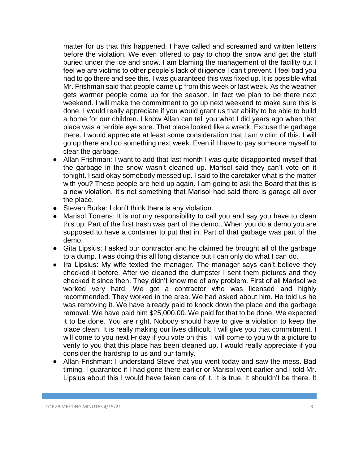matter for us that this happened. I have called and screamed and written letters before the violation. We even offered to pay to chop the snow and get the stuff buried under the ice and snow. I am blaming the management of the facility but I feel we are victims to other people's lack of diligence I can't prevent. I feel bad you had to go there and see this. I was guaranteed this was fixed up. It is possible what Mr. Frishman said that people came up from this week or last week. As the weather gets warmer people come up for the season. In fact we plan to be there next weekend. I will make the commitment to go up next weekend to make sure this is done. I would really appreciate if you would grant us that ability to be able to build a home for our children. I know Allan can tell you what I did years ago when that place was a terrible eye sore. That place looked like a wreck. Excuse the garbage there. I would appreciate at least some consideration that I am victim of this. I will go up there and do something next week. Even if I have to pay someone myself to clear the garbage.

- Allan Frishman: I want to add that last month I was quite disappointed myself that the garbage in the snow wasn't cleaned up. Marisol said they can't vote on it tonight. I said okay somebody messed up. I said to the caretaker what is the matter with you? These people are held up again. I am going to ask the Board that this is a new violation. It's not something that Marisol had said there is garage all over the place.
- Steven Burke: I don't think there is any violation.
- Marisol Torrens: It is not my responsibility to call you and say you have to clean this up. Part of the first trash was part of the demo.. When you do a demo you are supposed to have a container to put that in. Part of that garbage was part of the demo.
- Gita Lipsius: I asked our contractor and he claimed he brought all of the garbage to a dump. I was doing this all long distance but I can only do what I can do.
- Ira Lipsius: My wife texted the manager. The manager says can't believe they checked it before. After we cleaned the dumpster I sent them pictures and they checked it since then. They didn't know me of any problem. First of all Marisol we worked very hard. We got a contractor who was licensed and highly recommended. They worked in the area. We had asked about him. He told us he was removing it. We have already paid to knock down the place and the garbage removal. We have paid him \$25,000.00. We paid for that to be done. We expected it to be done. You are right. Nobody should have to give a violation to keep the place clean. It is really making our lives difficult. I will give you that commitment. I will come to you next Friday if you vote on this. I will come to you with a picture to verify to you that this place has been cleaned up. I would really appreciate if you consider the hardship to us and our family.
- Allan Frishman: I understand Steve that you went today and saw the mess. Bad timing. I guarantee if I had gone there earlier or Marisol went earlier and I told Mr. Lipsius about this I would have taken care of it. It is true. It shouldn't be there. It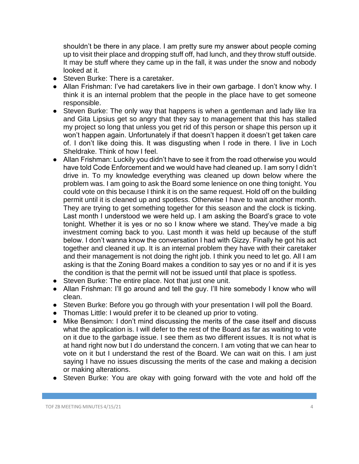shouldn't be there in any place. I am pretty sure my answer about people coming up to visit their place and dropping stuff off, had lunch, and they throw stuff outside. It may be stuff where they came up in the fall, it was under the snow and nobody looked at it.

- Steven Burke: There is a caretaker.
- Allan Frishman: I've had caretakers live in their own garbage. I don't know why. I think it is an internal problem that the people in the place have to get someone responsible.
- Steven Burke: The only way that happens is when a gentleman and lady like Ira and Gita Lipsius get so angry that they say to management that this has stalled my project so long that unless you get rid of this person or shape this person up it won't happen again. Unfortunately if that doesn't happen it doesn't get taken care of. I don't like doing this. It was disgusting when I rode in there. I live in Loch Sheldrake. Think of how I feel.
- Allan Frishman: Luckily you didn't have to see it from the road otherwise you would have told Code Enforcement and we would have had cleaned up. I am sorry I didn't drive in. To my knowledge everything was cleaned up down below where the problem was. I am going to ask the Board some lenience on one thing tonight. You could vote on this because I think it is on the same request. Hold off on the building permit until it is cleaned up and spotless. Otherwise I have to wait another month. They are trying to get something together for this season and the clock is ticking. Last month I understood we were held up. I am asking the Board's grace to vote tonight. Whether it is yes or no so I know where we stand. They've made a big investment coming back to you. Last month it was held up because of the stuff below. I don't wanna know the conversation I had with Gizzy. Finally he got his act together and cleaned it up. It is an internal problem they have with their caretaker and their management is not doing the right job. I think you need to let go. All I am asking is that the Zoning Board makes a condition to say yes or no and if it is yes the condition is that the permit will not be issued until that place is spotless.
- Steven Burke: The entire place. Not that just one unit.
- Allan Frishman: I'll go around and tell the guy. I'll hire somebody I know who will clean.
- Steven Burke: Before you go through with your presentation I will poll the Board.
- Thomas Little: I would prefer it to be cleaned up prior to voting.
- Mike Bensimon: I don't mind discussing the merits of the case itself and discuss what the application is. I will defer to the rest of the Board as far as waiting to vote on it due to the garbage issue. I see them as two different issues. It is not what is at hand right now but I do understand the concern. I am voting that we can hear to vote on it but I understand the rest of the Board. We can wait on this. I am just saying I have no issues discussing the merits of the case and making a decision or making alterations.
- Steven Burke: You are okay with going forward with the vote and hold off the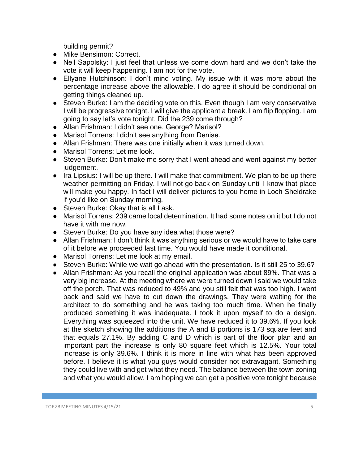building permit?

- Mike Bensimon: Correct.
- Neil Sapolsky: I just feel that unless we come down hard and we don't take the vote it will keep happening. I am not for the vote.
- Ellyane Hutchinson: I don't mind voting. My issue with it was more about the percentage increase above the allowable. I do agree it should be conditional on getting things cleaned up.
- Steven Burke: I am the deciding vote on this. Even though I am very conservative I will be progressive tonight. I will give the applicant a break. I am flip flopping. I am going to say let's vote tonight. Did the 239 come through?
- Allan Frishman: I didn't see one. George? Marisol?
- Marisol Torrens: I didn't see anything from Denise.
- Allan Frishman: There was one initially when it was turned down.
- Marisol Torrens: Let me look.
- Steven Burke: Don't make me sorry that I went ahead and went against my better judgement.
- Ira Lipsius: I will be up there. I will make that commitment. We plan to be up there weather permitting on Friday. I will not go back on Sunday until I know that place will make you happy. In fact I will deliver pictures to you home in Loch Sheldrake if you'd like on Sunday morning.
- Steven Burke: Okay that is all I ask.
- Marisol Torrens: 239 came local determination. It had some notes on it but I do not have it with me now.
- Steven Burke: Do you have any idea what those were?
- Allan Frishman: I don't think it was anything serious or we would have to take care of it before we proceeded last time. You would have made it conditional.
- Marisol Torrens: Let me look at my email.
- Steven Burke: While we wait go ahead with the presentation. Is it still 25 to 39.6?
- Allan Frishman: As you recall the original application was about 89%. That was a very big increase. At the meeting where we were turned down I said we would take off the porch. That was reduced to 49% and you still felt that was too high. I went back and said we have to cut down the drawings. They were waiting for the architect to do something and he was taking too much time. When he finally produced something it was inadequate. I took it upon myself to do a design. Everything was squeezed into the unit. We have reduced it to 39.6%. If you look at the sketch showing the additions the A and B portions is 173 square feet and that equals 27.1%. By adding C and D which is part of the floor plan and an important part the increase is only 80 square feet which is 12.5%. Your total increase is only 39.6%. I think it is more in line with what has been approved before. I believe it is what you guys would consider not extravagant. Something they could live with and get what they need. The balance between the town zoning and what you would allow. I am hoping we can get a positive vote tonight because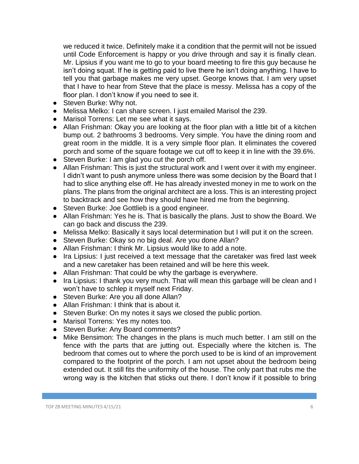we reduced it twice. Definitely make it a condition that the permit will not be issued until Code Enforcement is happy or you drive through and say it is finally clean. Mr. Lipsius if you want me to go to your board meeting to fire this guy because he isn't doing squat. If he is getting paid to live there he isn't doing anything. I have to tell you that garbage makes me very upset. George knows that. I am very upset that I have to hear from Steve that the place is messy. Melissa has a copy of the floor plan. I don't know if you need to see it.

- Steven Burke: Why not.
- Melissa Melko: I can share screen. I just emailed Marisol the 239.
- Marisol Torrens: Let me see what it says.
- Allan Frishman: Okay you are looking at the floor plan with a little bit of a kitchen bump out. 2 bathrooms 3 bedrooms. Very simple. You have the dining room and great room in the middle. It is a very simple floor plan. It eliminates the covered porch and some of the square footage we cut off to keep it in line with the 39.6%.
- Steven Burke: I am glad you cut the porch off.
- Allan Frishman: This is just the structural work and I went over it with my engineer. I didn't want to push anymore unless there was some decision by the Board that I had to slice anything else off. He has already invested money in me to work on the plans. The plans from the original architect are a loss. This is an interesting project to backtrack and see how they should have hired me from the beginning.
- Steven Burke: Joe Gottlieb is a good engineer.
- Allan Frishman: Yes he is. That is basically the plans. Just to show the Board. We can go back and discuss the 239.
- Melissa Melko: Basically it says local determination but I will put it on the screen.
- Steven Burke: Okay so no big deal. Are you done Allan?
- Allan Frishman: I think Mr. Lipsius would like to add a note.
- Ira Lipsius: I just received a text message that the caretaker was fired last week and a new caretaker has been retained and will be here this week.
- Allan Frishman: That could be why the garbage is everywhere.
- Ira Lipsius: I thank you very much. That will mean this garbage will be clean and I won't have to schlep it myself next Friday.
- Steven Burke: Are you all done Allan?
- Allan Frishman: I think that is about it.
- Steven Burke: On my notes it says we closed the public portion.
- Marisol Torrens: Yes my notes too.
- Steven Burke: Any Board comments?
- Mike Bensimon: The changes in the plans is much much better. I am still on the fence with the parts that are jutting out. Especially where the kitchen is. The bedroom that comes out to where the porch used to be is kind of an improvement compared to the footprint of the porch. I am not upset about the bedroom being extended out. It still fits the uniformity of the house. The only part that rubs me the wrong way is the kitchen that sticks out there. I don't know if it possible to bring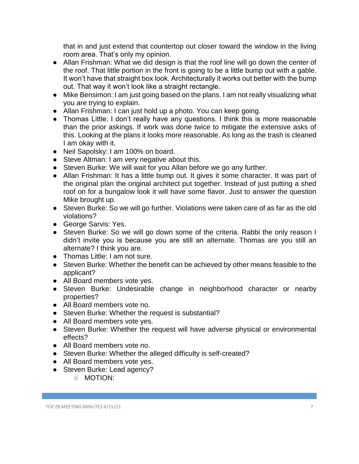that in and just extend that countertop out closer toward the window in the living room area. That's only my opinion.

- Allan Frishman: What we did design is that the roof line will go down the center of the roof. That little portion in the front is going to be a little bump out with a gable. It won't have that straight box look. Architecturally it works out better with the bump out. That way it won't look like a straight rectangle.
- Mike Bensimon: I am just going based on the plans. I am not really visualizing what you are trying to explain.
- Allan Frishman: I can just hold up a photo. You can keep going.
- Thomas Little: I don't really have any questions. I think this is more reasonable than the prior askings. If work was done twice to mitigate the extensive asks of this. Looking at the plans it looks more reasonable. As long as the trash is cleaned I am okay with it.
- Neil Sapolsky: I am 100% on board.
- Steve Altman: I am very negative about this.
- Steven Burke: We will wait for you Allan before we go any further.
- Allan Frishman: It has a little bump out. It gives it some character. It was part of the original plan the original architect put together. Instead of just putting a shed roof on for a bungalow look it will have some flavor. Just to answer the question Mike brought up.
- Steven Burke: So we will go further. Violations were taken care of as far as the old violations?
- George Sarvis: Yes.
- Steven Burke: So we will go down some of the criteria. Rabbi the only reason I didn't invite you is because you are still an alternate. Thomas are you still an alternate? I think you are.
- Thomas Little: I am not sure.
- Steven Burke: Whether the benefit can be achieved by other means feasible to the applicant?
- All Board members vote yes.
- Steven Burke: Undesirable change in neighborhood character or nearby properties?
- All Board members vote no.
- Steven Burke: Whether the request is substantial?
- All Board members vote yes.
- Steven Burke: Whether the request will have adverse physical or environmental effects?
- All Board members vote no.
- Steven Burke: Whether the alleged difficulty is self-created?
- All Board members vote yes.
- Steven Burke: Lead agency?
	- MOTION: